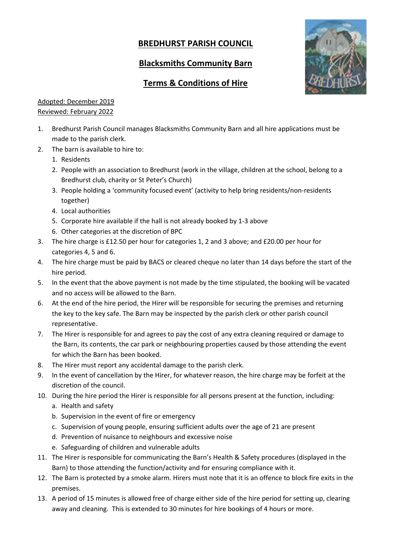## **BREDHURST PARISH COUNCIL**

## **Blacksmiths Community Barn**



## **Terms & Conditions of Hire**

## Adopted: December 2019 Reviewed: February 2022

- 1. Bredhurst Parish Council manages Blacksmiths Community Barn and all hire applications must be made to the parish clerk.
- 2. The barn is available to hire to:
	- 1. Residents
	- 2. People with an association to Bredhurst (work in the village, children at the school, belong to a Bredhurst club, charity or St Peter's Church)
	- 3. People holding a 'community focused event' (activity to help bring residents/non-residents together)
	- 4. Local authorities
	- 5. Corporate hire available if the hall is not already booked by 1-3 above
	- 6. Other categories at the discretion of BPC
- 3. The hire charge is £12.50 per hour for categories 1, 2 and 3 above; and £20.00 per hour for categories 4, 5 and 6.
- 4. The hire charge must be paid by BACS or cleared cheque no later than 14 days before the start of the hire period.
- 5. In the event that the above payment is not made by the time stipulated, the booking will be vacated and no access will be allowed to the Barn.
- 6. At the end of the hire period, the Hirer will be responsible for securing the premises and returning the key to the key safe. The Barn may be inspected by the parish clerk or other parish council representative.
- 7. The Hirer is responsible for and agrees to pay the cost of any extra cleaning required or damage to the Barn, its contents, the car park or neighbouring properties caused by those attending the event for which the Barn has been booked.
- 8. The Hirer must report any accidental damage to the parish clerk.
- 9. In the event of cancellation by the Hirer, for whatever reason, the hire charge may be forfeit at the discretion of the council.
- 10. During the hire period the Hirer is responsible for all persons present at the function, including:
	- a. Health and safety
	- b. Supervision in the event of fire or emergency
	- c. Supervision of young people, ensuring sufficient adults over the age of 21 are present
	- d. Prevention of nuisance to neighbours and excessive noise
	- e. Safeguarding of children and vulnerable adults
- 11. The Hirer is responsible for communicating the Barn's Health & Safety procedures (displayed in the Barn) to those attending the function/activity and for ensuring compliance with it.
- 12. The Barn is protected by a smoke alarm. Hirers must note that it is an offence to block fire exits in the premises.
- 13. A period of 15 minutes is allowed free of charge either side of the hire period for setting up, clearing away and cleaning. This is extended to 30 minutes for hire bookings of 4 hours or more.